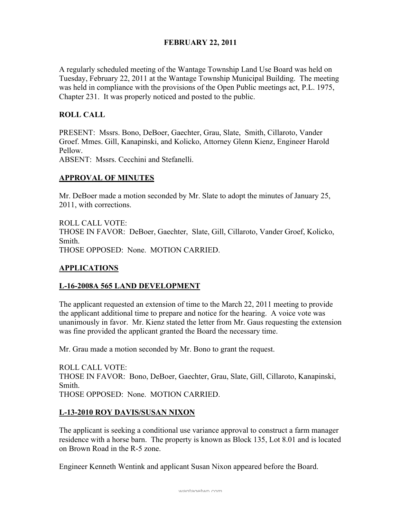# FEBRUARY 22, 2011

A regularly scheduled meeting of the Wantage Township Land Use Board was held on Tuesday, February 22, 2011 at the Wantage Township Municipal Building. The meeting was held in compliance with the provisions of the Open Public meetings act, P.L. 1975, Chapter 231. It was properly noticed and posted to the public.

# ROLL CALL

PRESENT: Mssrs. Bono, DeBoer, Gaechter, Grau, Slate, Smith, Cillaroto, Vander Groef. Mmes. Gill, Kanapinski, and Kolicko, Attorney Glenn Kienz, Engineer Harold Pellow.

ABSENT: Mssrs. Cecchini and Stefanelli.

## APPROVAL OF MINUTES

Mr. DeBoer made a motion seconded by Mr. Slate to adopt the minutes of January 25, 2011, with corrections.

ROLL CALL VOTE: THOSE IN FAVOR: DeBoer, Gaechter, Slate, Gill, Cillaroto, Vander Groef, Kolicko, Smith. THOSE OPPOSED: None. MOTION CARRIED.

### APPLICATIONS

### L-16-2008A 565 LAND DEVELOPMENT

The applicant requested an extension of time to the March 22, 2011 meeting to provide the applicant additional time to prepare and notice for the hearing. A voice vote was unanimously in favor. Mr. Kienz stated the letter from Mr. Gaus requesting the extension was fine provided the applicant granted the Board the necessary time.

Mr. Grau made a motion seconded by Mr. Bono to grant the request.

ROLL CALL VOTE: THOSE IN FAVOR: Bono, DeBoer, Gaechter, Grau, Slate, Gill, Cillaroto, Kanapinski, Smith. THOSE OPPOSED: None. MOTION CARRIED.

### L-13-2010 ROY DAVIS/SUSAN NIXON

The applicant is seeking a conditional use variance approval to construct a farm manager residence with a horse barn. The property is known as Block 135, Lot 8.01 and is located on Brown Road in the R-5 zone.

Engineer Kenneth Wentink and applicant Susan Nixon appeared before the Board.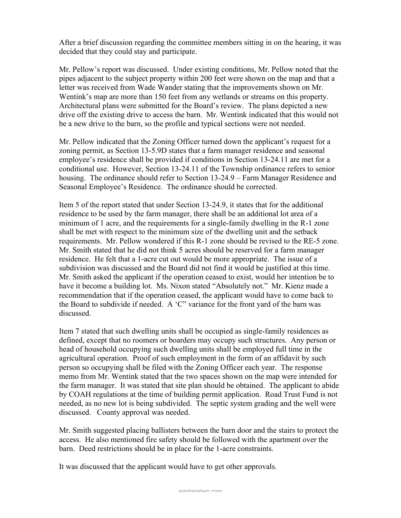After a brief discussion regarding the committee members sitting in on the hearing, it was decided that they could stay and participate.

Mr. Pellow's report was discussed. Under existing conditions, Mr. Pellow noted that the pipes adjacent to the subject property within 200 feet were shown on the map and that a letter was received from Wade Wander stating that the improvements shown on Mr. Wentink's map are more than 150 feet from any wetlands or streams on this property. Architectural plans were submitted for the Board's review. The plans depicted a new drive off the existing drive to access the barn. Mr. Wentink indicated that this would not be a new drive to the barn, so the profile and typical sections were not needed.

Mr. Pellow indicated that the Zoning Officer turned down the applicant's request for a zoning permit, as Section 13-5.9D states that a farm manager residence and seasonal employee's residence shall be provided if conditions in Section 13-24.11 are met for a conditional use. However, Section 13-24.11 of the Township ordinance refers to senior housing. The ordinance should refer to Section 13-24.9 – Farm Manager Residence and Seasonal Employee's Residence. The ordinance should be corrected.

Item 5 of the report stated that under Section 13-24.9, it states that for the additional residence to be used by the farm manager, there shall be an additional lot area of a minimum of 1 acre, and the requirements for a single-family dwelling in the R-1 zone shall be met with respect to the minimum size of the dwelling unit and the setback requirements. Mr. Pellow wondered if this R-1 zone should be revised to the RE-5 zone. Mr. Smith stated that he did not think 5 acres should be reserved for a farm manager residence. He felt that a 1-acre cut out would be more appropriate. The issue of a subdivision was discussed and the Board did not find it would be justified at this time. Mr. Smith asked the applicant if the operation ceased to exist, would her intention be to have it become a building lot. Ms. Nixon stated "Absolutely not." Mr. Kienz made a recommendation that if the operation ceased, the applicant would have to come back to the Board to subdivide if needed. A 'C" variance for the front yard of the barn was discussed.

Item 7 stated that such dwelling units shall be occupied as single-family residences as defined, except that no roomers or boarders may occupy such structures. Any person or head of household occupying such dwelling units shall be employed full time in the agricultural operation. Proof of such employment in the form of an affidavit by such person so occupying shall be filed with the Zoning Officer each year. The response memo from Mr. Wentink stated that the two spaces shown on the map were intended for the farm manager. It was stated that site plan should be obtained. The applicant to abide by COAH regulations at the time of building permit application. Road Trust Fund is not needed, as no new lot is being subdivided. The septic system grading and the well were discussed. County approval was needed.

Mr. Smith suggested placing ballisters between the barn door and the stairs to protect the access. He also mentioned fire safety should be followed with the apartment over the barn. Deed restrictions should be in place for the 1-acre constraints.

It was discussed that the applicant would have to get other approvals.